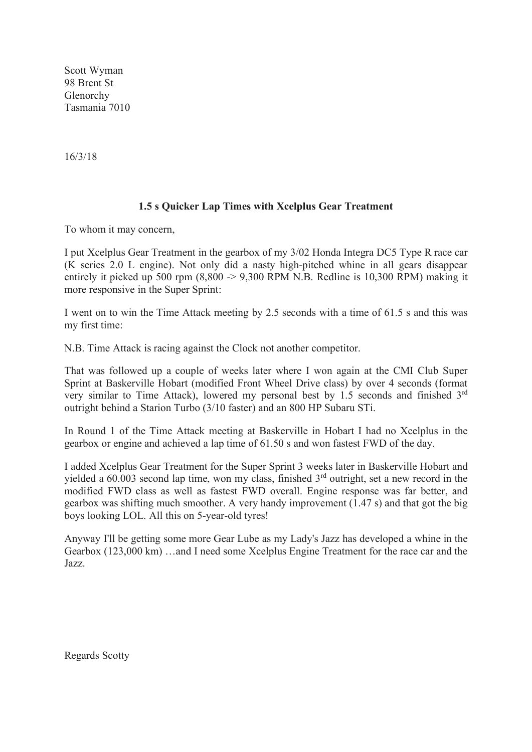Scott Wyman 98 Brent St Glenorchy Tasmania 7010

16/3/18

## **1.5 s Quicker Lap Times with Xcelplus Gear Treatment**

To whom it may concern,

I put Xcelplus Gear Treatment in the gearbox of my 3/02 Honda Integra DC5 Type R race car (K series 2.0 L engine). Not only did a nasty high-pitched whine in all gears disappear entirely it picked up 500 rpm  $(8,800 \rightarrow 9,300$  RPM N.B. Redline is 10,300 RPM) making it more responsive in the Super Sprint:

I went on to win the Time Attack meeting by 2.5 seconds with a time of 61.5 s and this was my first time:

N.B. Time Attack is racing against the Clock not another competitor.

That was followed up a couple of weeks later where I won again at the CMI Club Super Sprint at Baskerville Hobart (modified Front Wheel Drive class) by over 4 seconds (format very similar to Time Attack), lowered my personal best by 1.5 seconds and finished 3rd outright behind a Starion Turbo (3/10 faster) and an 800 HP Subaru STi.

In Round 1 of the Time Attack meeting at Baskerville in Hobart I had no Xcelplus in the gearbox or engine and achieved a lap time of 61.50 s and won fastest FWD of the day.

I added Xcelplus Gear Treatment for the Super Sprint 3 weeks later in Baskerville Hobart and yielded a  $60.003$  second lap time, won my class, finished  $3<sup>rd</sup>$  outright, set a new record in the modified FWD class as well as fastest FWD overall. Engine response was far better, and gearbox was shifting much smoother. A very handy improvement (1.47 s) and that got the big boys looking LOL. All this on 5-year-old tyres!

Anyway I'll be getting some more Gear Lube as my Lady's Jazz has developed a whine in the Gearbox (123,000 km) …and I need some Xcelplus Engine Treatment for the race car and the Jazz.

Regards Scotty